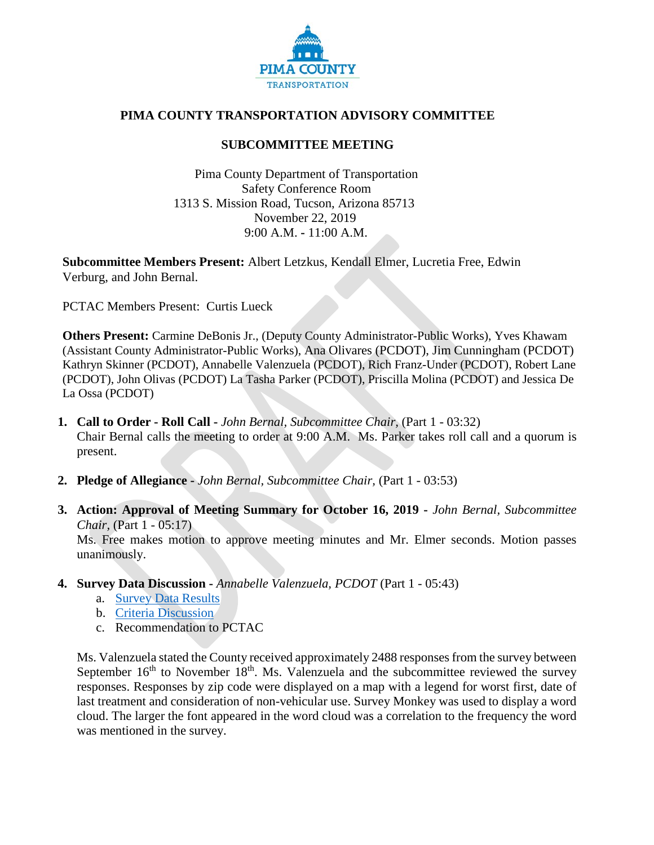

## **PIMA COUNTY TRANSPORTATION ADVISORY COMMITTEE**

## **SUBCOMMITTEE MEETING**

Pima County Department of Transportation Safety Conference Room 1313 S. Mission Road, Tucson, Arizona 85713 November 22, 2019 9:00 A.M. **-** 11:00 A.M.

**Subcommittee Members Present:** Albert Letzkus, Kendall Elmer, Lucretia Free, Edwin Verburg, and John Bernal.

PCTAC Members Present: Curtis Lueck

**Others Present:** Carmine DeBonis Jr., (Deputy County Administrator-Public Works), Yves Khawam (Assistant County Administrator-Public Works), Ana Olivares (PCDOT), Jim Cunningham (PCDOT) Kathryn Skinner (PCDOT), Annabelle Valenzuela (PCDOT), Rich Franz-Under (PCDOT), Robert Lane (PCDOT), John Olivas (PCDOT) La Tasha Parker (PCDOT), Priscilla Molina (PCDOT) and Jessica De La Ossa (PCDOT)

**1. Call to Order - Roll Call -** *John Bernal, Subcommittee Chair,* (Part 1 - 03:32)

Chair Bernal calls the meeting to order at 9:00 A.M. Ms. Parker takes roll call and a quorum is present.

- **2. Pledge of Allegiance -** *John Bernal, Subcommittee Chair,* (Part 1 03:53)
- **3. Action: Approval of Meeting Summary for October 16, 2019 -** *John Bernal, Subcommittee Chair,* (Part 1 - 05:17)

Ms. Free makes motion to approve meeting minutes and Mr. Elmer seconds. Motion passes unanimously.

- **4. Survey Data Discussion -** *Annabelle Valenzuela, PCDOT* (Part 1 05:43)
	- a. [Survey Data Results](https://webcms.pima.gov/UserFiles/Servers/Server_6/File/Government/Transportation/TransportationAdvisoryCommittee/SubComm-Mtgs/191120%20Public%20Engagement%20Update%20PCTAC%20Subcommittee.pdf)
	- b. [Criteria Discussion](https://webcms.pima.gov/UserFiles/Servers/Server_6/File/Government/Transportation/TransportationAdvisoryCommittee/SubComm-Mtgs/191120%20Roadway%20Criteria%20Presentation.pdf)
	- c. Recommendation to PCTAC

Ms. Valenzuela stated the County received approximately 2488 responses from the survey between September  $16<sup>th</sup>$  to November  $18<sup>th</sup>$ . Ms. Valenzuela and the subcommittee reviewed the survey responses. Responses by zip code were displayed on a map with a legend for worst first, date of last treatment and consideration of non-vehicular use. Survey Monkey was used to display a word cloud. The larger the font appeared in the word cloud was a correlation to the frequency the word was mentioned in the survey.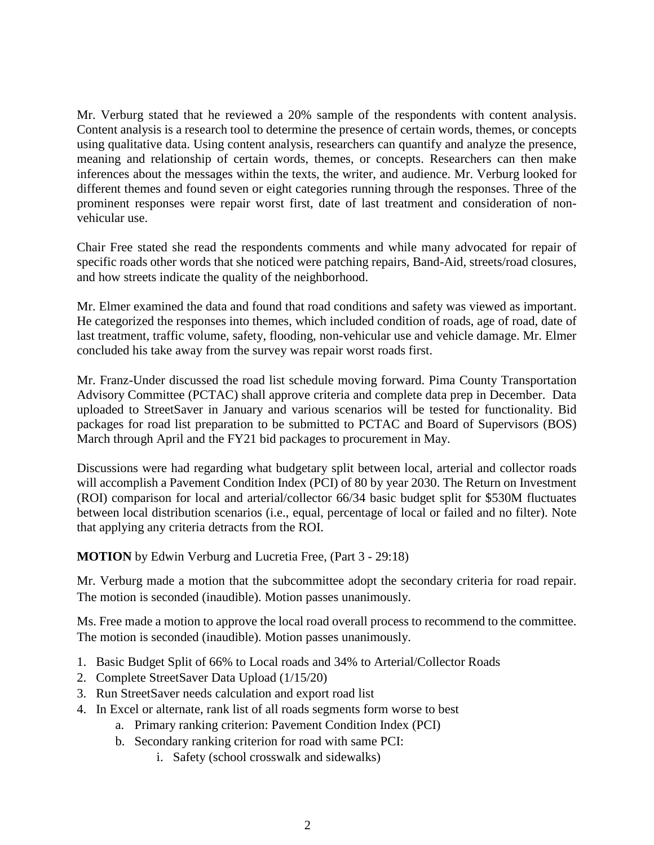Mr. Verburg stated that he reviewed a 20% sample of the respondents with content analysis. Content analysis is a research tool to determine the presence of certain words, themes, or concepts using qualitative data. Using content analysis, researchers can quantify and analyze the presence, meaning and relationship of certain words, themes, or concepts. Researchers can then make inferences about the messages within the texts, the writer, and audience. Mr. Verburg looked for different themes and found seven or eight categories running through the responses. Three of the prominent responses were repair worst first, date of last treatment and consideration of nonvehicular use.

Chair Free stated she read the respondents comments and while many advocated for repair of specific roads other words that she noticed were patching repairs, Band-Aid, streets/road closures, and how streets indicate the quality of the neighborhood.

Mr. Elmer examined the data and found that road conditions and safety was viewed as important. He categorized the responses into themes, which included condition of roads, age of road, date of last treatment, traffic volume, safety, flooding, non-vehicular use and vehicle damage. Mr. Elmer concluded his take away from the survey was repair worst roads first.

Mr. Franz-Under discussed the road list schedule moving forward. Pima County Transportation Advisory Committee (PCTAC) shall approve criteria and complete data prep in December. Data uploaded to StreetSaver in January and various scenarios will be tested for functionality. Bid packages for road list preparation to be submitted to PCTAC and Board of Supervisors (BOS) March through April and the FY21 bid packages to procurement in May.

Discussions were had regarding what budgetary split between local, arterial and collector roads will accomplish a Pavement Condition Index (PCI) of 80 by year 2030. The Return on Investment (ROI) comparison for local and arterial/collector 66/34 basic budget split for \$530M fluctuates between local distribution scenarios (i.e., equal, percentage of local or failed and no filter). Note that applying any criteria detracts from the ROI.

**MOTION** by Edwin Verburg and Lucretia Free, (Part 3 - 29:18)

Mr. Verburg made a motion that the subcommittee adopt the secondary criteria for road repair. The motion is seconded (inaudible). Motion passes unanimously.

Ms. Free made a motion to approve the local road overall process to recommend to the committee. The motion is seconded (inaudible). Motion passes unanimously.

- 1. Basic Budget Split of 66% to Local roads and 34% to Arterial/Collector Roads
- 2. Complete StreetSaver Data Upload (1/15/20)
- 3. Run StreetSaver needs calculation and export road list
- 4. In Excel or alternate, rank list of all roads segments form worse to best
	- a. Primary ranking criterion: Pavement Condition Index (PCI)
	- b. Secondary ranking criterion for road with same PCI:
		- i. Safety (school crosswalk and sidewalks)